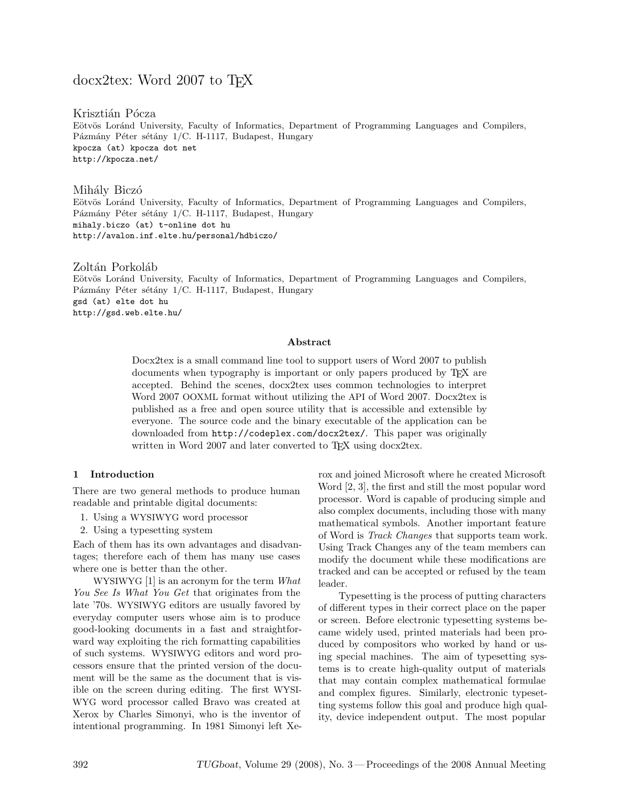# docx2tex: Word 2007 to T<sub>EX</sub>

Krisztián Pócza Eötvös Loránd University, Faculty of Informatics, Department of Programming Languages and Compilers, Pázmány Péter sétány 1/C. H-1117, Budapest, Hungary kpocza (at) kpocza dot net http://kpocza.net/

## Mihály Biczó

Eötvös Loránd University, Faculty of Informatics, Department of Programming Languages and Compilers, Pázmány Péter sétány 1/C. H-1117, Budapest, Hungary mihaly.biczo (at) t-online dot hu http://avalon.inf.elte.hu/personal/hdbiczo/

Zoltán Porkoláb Eötvös Loránd University, Faculty of Informatics, Department of Programming Languages and Compilers, Pázmány Péter sétány 1/C. H-1117, Budapest, Hungary gsd (at) elte dot hu http://gsd.web.elte.hu/

### Abstract

Docx2tex is a small command line tool to support users of Word 2007 to publish documents when typography is important or only papers produced by TEX are accepted. Behind the scenes, docx2tex uses common technologies to interpret Word 2007 OOXML format without utilizing the API of Word 2007. Docx2tex is published as a free and open source utility that is accessible and extensible by everyone. The source code and the binary executable of the application can be downloaded from http://codeplex.com/docx2tex/. This paper was originally written in Word 2007 and later converted to T<sub>E</sub>X using docx2tex.

## 1 Introduction

There are two general methods to produce human readable and printable digital documents:

- 1. Using a WYSIWYG word processor
- 2. Using a typesetting system

Each of them has its own advantages and disadvantages; therefore each of them has many use cases where one is better than the other.

WYSIWYG [1] is an acronym for the term *What You See Is What You Get* that originates from the late '70s. WYSIWYG editors are usually favored by everyday computer users whose aim is to produce good-looking documents in a fast and straightforward way exploiting the rich formatting capabilities of such systems. WYSIWYG editors and word processors ensure that the printed version of the document will be the same as the document that is visible on the screen during editing. The first WYSI-WYG word processor called Bravo was created at Xerox by Charles Simonyi, who is the inventor of intentional programming. In 1981 Simonyi left Xerox and joined Microsoft where he created Microsoft Word [2, 3], the first and still the most popular word processor. Word is capable of producing simple and also complex documents, including those with many mathematical symbols. Another important feature of Word is *Track Changes* that supports team work. Using Track Changes any of the team members can modify the document while these modifications are tracked and can be accepted or refused by the team leader.

Typesetting is the process of putting characters of different types in their correct place on the paper or screen. Before electronic typesetting systems became widely used, printed materials had been produced by compositors who worked by hand or using special machines. The aim of typesetting systems is to create high-quality output of materials that may contain complex mathematical formulae and complex figures. Similarly, electronic typesetting systems follow this goal and produce high quality, device independent output. The most popular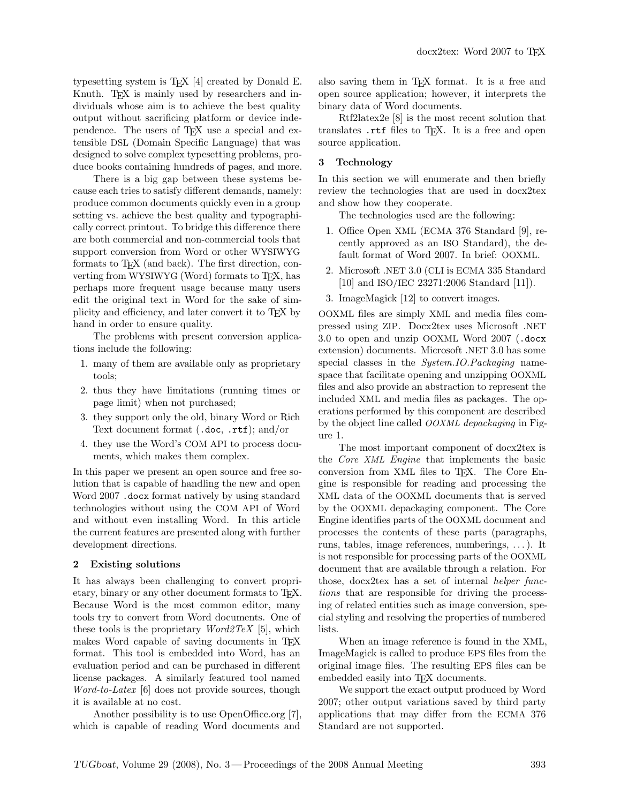typesetting system is T<sub>E</sub>X  $[4]$  created by Donald E. Knuth. T<sub>E</sub>X is mainly used by researchers and individuals whose aim is to achieve the best quality output without sacrificing platform or device independence. The users of T<sub>EX</sub> use a special and extensible DSL (Domain Specific Language) that was designed to solve complex typesetting problems, produce books containing hundreds of pages, and more.

There is a big gap between these systems because each tries to satisfy different demands, namely: produce common documents quickly even in a group setting vs. achieve the best quality and typographically correct printout. To bridge this difference there are both commercial and non-commercial tools that support conversion from Word or other WYSIWYG formats to T<sub>F</sub>X (and back). The first direction, converting from WYSIWYG (Word) formats to T<sub>F</sub>X, has perhaps more frequent usage because many users edit the original text in Word for the sake of simplicity and efficiency, and later convert it to TEX by hand in order to ensure quality.

The problems with present conversion applications include the following:

- 1. many of them are available only as proprietary tools;
- 2. thus they have limitations (running times or page limit) when not purchased;
- 3. they support only the old, binary Word or Rich Text document format (.doc, .rtf); and/or
- 4. they use the Word's COM API to process documents, which makes them complex.

In this paper we present an open source and free solution that is capable of handling the new and open Word 2007 .docx format natively by using standard technologies without using the COM API of Word and without even installing Word. In this article the current features are presented along with further development directions.

### 2 Existing solutions

It has always been challenging to convert proprietary, binary or any other document formats to TEX. Because Word is the most common editor, many tools try to convert from Word documents. One of these tools is the proprietary *Word2TeX* [5], which makes Word capable of saving documents in TEX format. This tool is embedded into Word, has an evaluation period and can be purchased in different license packages. A similarly featured tool named *Word-to-Latex* [6] does not provide sources, though it is available at no cost.

Another possibility is to use OpenOffice.org [7], which is capable of reading Word documents and

also saving them in TEX format. It is a free and open source application; however, it interprets the binary data of Word documents.

Rtf2latex2e [8] is the most recent solution that translates rtf files to T<sub>E</sub>X. It is a free and open source application.

### 3 Technology

In this section we will enumerate and then briefly review the technologies that are used in docx2tex and show how they cooperate.

The technologies used are the following:

- 1. Office Open XML (ECMA 376 Standard [9], recently approved as an ISO Standard), the default format of Word 2007. In brief: OOXML.
- 2. Microsoft .NET 3.0 (CLI is ECMA 335 Standard [10] and ISO/IEC 23271:2006 Standard [11]).
- 3. ImageMagick [12] to convert images.

OOXML files are simply XML and media files compressed using ZIP. Docx2tex uses Microsoft .NET 3.0 to open and unzip OOXML Word 2007 (.docx extension) documents. Microsoft .NET 3.0 has some special classes in the *System.IO.Packaging* namespace that facilitate opening and unzipping OOXML files and also provide an abstraction to represent the included XML and media files as packages. The operations performed by this component are described by the object line called OOXML *depackaging* in Figure 1.

The most important component of docx2tex is the *Core* XML *Engine* that implements the basic conversion from XML files to TEX. The Core Engine is responsible for reading and processing the XML data of the OOXML documents that is served by the OOXML depackaging component. The Core Engine identifies parts of the OOXML document and processes the contents of these parts (paragraphs, runs, tables, image references, numberings, . . . ). It is not responsible for processing parts of the OOXML document that are available through a relation. For those, docx2tex has a set of internal *helper functions* that are responsible for driving the processing of related entities such as image conversion, special styling and resolving the properties of numbered lists.

When an image reference is found in the XML, ImageMagick is called to produce EPS files from the original image files. The resulting EPS files can be embedded easily into T<sub>EX</sub> documents.

We support the exact output produced by Word 2007; other output variations saved by third party applications that may differ from the ECMA 376 Standard are not supported.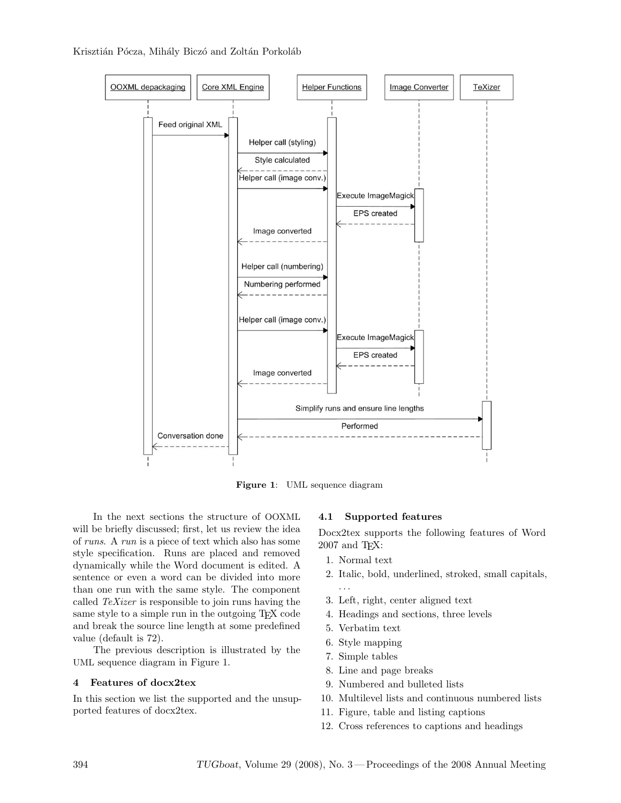Krisztián Pócza, Mihály Biczó and Zoltán Porkoláb



Figure 1: UML sequence diagram

In the next sections the structure of OOXML will be briefly discussed; first, let us review the idea of *runs*. A *run* is a piece of text which also has some style specification. Runs are placed and removed dynamically while the Word document is edited. A sentence or even a word can be divided into more than one run with the same style. The component called *TeXizer* is responsible to join runs having the same style to a simple run in the outgoing TEX code and break the source line length at some predefined value (default is 72).

The previous description is illustrated by the UML sequence diagram in Figure 1.

### 4 Features of docx2tex

In this section we list the supported and the unsupported features of docx2tex.

### 4.1 Supported features

Docx2tex supports the following features of Word 2007 and TEX:

- 1. Normal text
- 2. Italic, bold, underlined, stroked, small capitals, . . .
- 3. Left, right, center aligned text
- 4. Headings and sections, three levels
- 5. Verbatim text
- 6. Style mapping
- 7. Simple tables
- 8. Line and page breaks
- 9. Numbered and bulleted lists
- 10. Multilevel lists and continuous numbered lists
- 11. Figure, table and listing captions
- 12. Cross references to captions and headings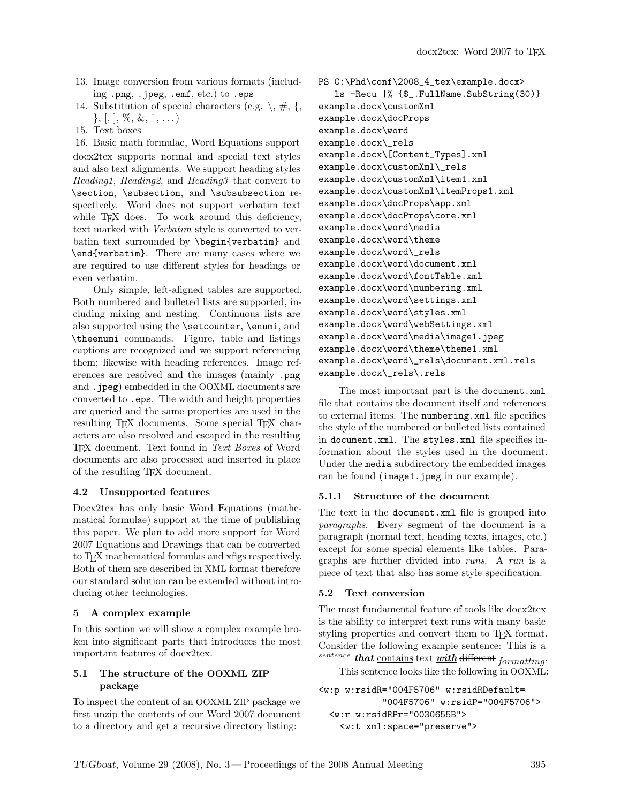- 13. Image conversion from various formats (including .png, .jpeg, .emf, etc.) to .eps
- 14. Substitution of special characters (e.g.  $\backslash$ ,  $\#$ , {,  $\}, [0, 1, \%, \&, \tilde{\ } , \ldots)$
- 15. Text boxes

16. Basic math formulae, Word Equations support docx2tex supports normal and special text styles and also text alignments. We support heading styles *Heading1*, *Heading2*, and *Heading3* that convert to \section, \subsection, and \subsubsection respectively. Word does not support verbatim text while T<sub>E</sub>X does. To work around this deficiency, text marked with *Verbatim* style is converted to verbatim text surrounded by \begin{verbatim} and \end{verbatim}. There are many cases where we are required to use different styles for headings or even verbatim.

Only simple, left-aligned tables are supported. Both numbered and bulleted lists are supported, including mixing and nesting. Continuous lists are also supported using the \setcounter, \enumi, and \theenumi commands. Figure, table and listings captions are recognized and we support referencing them; likewise with heading references. Image references are resolved and the images (mainly .png and .jpeg) embedded in the OOXML documents are converted to .eps. The width and height properties are queried and the same properties are used in the resulting TEX documents. Some special TEX characters are also resolved and escaped in the resulting TEX document. Text found in *Text Boxes* of Word documents are also processed and inserted in place of the resulting TEX document.

# 4.2 Unsupported features

Docx2tex has only basic Word Equations (mathematical formulae) support at the time of publishing this paper. We plan to add more support for Word 2007 Equations and Drawings that can be converted to TEX mathematical formulas and xfigs respectively. Both of them are described in XML format therefore our standard solution can be extended without introducing other technologies.

# 5 A complex example

In this section we will show a complex example broken into significant parts that introduces the most important features of docx2tex.

## 5.1 The structure of the OOXML ZIP package

To inspect the content of an OOXML ZIP package we first unzip the contents of our Word 2007 document to a directory and get a recursive directory listing:

PS C:\Phd\conf\2008\_4\_tex\example.docx> ls -Recu |% {\$\_.FullName.SubString(30)} example.docx\customXml example.docx\docProps example.docx\word example.docx\\_rels example.docx\[Content\_Types].xml example.docx\customXml\\_rels example.docx\customXml\item1.xml example.docx\customXml\itemProps1.xml example.docx\docProps\app.xml example.docx\docProps\core.xml example.docx\word\media example.docx\word\theme example.docx\word\\_rels example.docx\word\document.xml example.docx\word\fontTable.xml example.docx\word\numbering.xml example.docx\word\settings.xml example.docx\word\styles.xml example.docx\word\webSettings.xml example.docx\word\media\image1.jpeg example.docx\word\theme\theme1.xml example.docx\word\\_rels\document.xml.rels example.docx\\_rels\.rels

The most important part is the document.xml file that contains the document itself and references to external items. The numbering.xml file specifies the style of the numbered or bulleted lists contained in document.xml. The styles.xml file specifies information about the styles used in the document. Under the media subdirectory the embedded images can be found (image1.jpeg in our example).

# 5.1.1 Structure of the document

The text in the document.xml file is grouped into *paragraphs*. Every segment of the document is a paragraph (normal text, heading texts, images, etc.) except for some special elements like tables. Paragraphs are further divided into *runs*. A *run* is a piece of text that also has some style specification.

# 5.2 Text conversion

The most fundamental feature of tools like docx2tex is the ability to interpret text runs with many basic styling properties and convert them to T<sub>E</sub>X format. Consider the following example sentence: This is a sentence that contains text with different *formatting*. This sentence looks like the following in OOXML:

```
<w:p w:rsidR="004F5706" w:rsidRDefault=
            "004F5706" w:rsidP="004F5706">
 <w:r w:rsidRPr="0030655B">
   <w:t xml:space="preserve">
```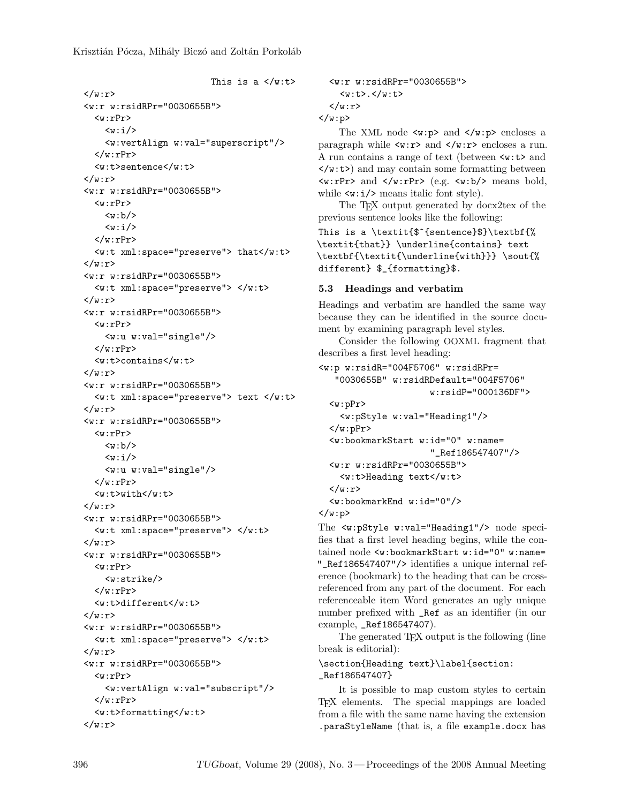This is a  $\langle w: t \rangle$  $\langle$ /w:r> <w:r w:rsidRPr="0030655B">  $\langle w: rPr \rangle$  $\langle w: i \rangle$ <w:vertAlign w:val="superscript"/>  $\langle w: rPr \rangle$ <w:t>sentence</w:t>  $\langle$ /w:r> <w:r w:rsidRPr="0030655B">  $\langle w: rPr \rangle$  $\langle w:b \rangle$  $\langle w: i \rangle$  $\langle$ /w:rPr> <w:t xml:space="preserve"> that</w:t>  $\langle w: r \rangle$ <w:r w:rsidRPr="0030655B"> <w:t xml:space="preserve"> </w:t>  $\langle$ /w:r> <w:r w:rsidRPr="0030655B">  $\langle w: rPr \rangle$ <w:u w:val="single"/>  $\langle w: rPr \rangle$ <w:t>contains</w:t>  $\langle$ /w:r> <w:r w:rsidRPr="0030655B"> <w:t xml:space="preserve"> text </w:t>  $\langle$ /w:r> <w:r w:rsidRPr="0030655B">  $\langle w: rPr \rangle$  $\langle w:b \rangle$  $<sub>w</sub>: i/>$ </sub> <w:u w:val="single"/>  $\langle$ /w:rPr>  $\langle w: t \rangle = \langle w: t \rangle$  $\langle$ /w:r> <w:r w:rsidRPr="0030655B"> <w:t xml:space="preserve"> </w:t>  $\langle$ /w:r> <w:r w:rsidRPr="0030655B">  $\langle w: rPr \rangle$ <w:strike/>  $\langle w: rPr \rangle$ <w:t>different</w:t>  $\langle$ /w:r> <w:r w:rsidRPr="0030655B"> <w:t xml:space="preserve"> </w:t>  $\langle$ /w:r> <w:r w:rsidRPr="0030655B">  $\langle w: rPr \rangle$ <w:vertAlign w:val="subscript"/>  $\langle w: rPr \rangle$ <w:t>formatting</w:t>  $\langle w:\mathbf{r}\rangle$ 

```
<w:r w:rsidRPr="0030655B">
       \langle w: t \rangle.\langle w: t \rangle\langle/w:r>
\langle/w:p>
```
The XML node  $\langle w : p \rangle$  and  $\langle w : p \rangle$  encloses a paragraph while  $\langle w:r\rangle$  and  $\langle w:r\rangle$  encloses a run. A run contains a range of text (between <w:t> and  $\langle w: t \rangle$  and may contain some formatting between  $\langle w: rPr \rangle$  and  $\langle w: rPr \rangle$  (e.g.  $\langle w: b \rangle$ ) means bold, while  $\langle w:i \rangle$  means italic font style).

The T<sub>EX</sub> output generated by docx2tex of the previous sentence looks like the following:

This is a \textit{\$^{sentence}\$}\textbf{% \textit{that}} \underline{contains} text \textbf{\textit{\underline{with}}} \sout{% different} \$\_{formatting}\$.

## 5.3 Headings and verbatim

Headings and verbatim are handled the same way because they can be identified in the source document by examining paragraph level styles.

Consider the following OOXML fragment that describes a first level heading:

```
<w:p w:rsidR="004F5706" w:rsidRPr=
   "0030655B" w:rsidRDefault="004F5706"
                        w:rsidP="000136DF">
  \langle w: pPr \rangle<w:pStyle w:val="Heading1"/>
  \langle w: pPr \rangle<w:bookmarkStart w:id="0" w:name=
                        "_Ref186547407"/>
  <w:r w:rsidRPr="0030655B">
    <w:t>Heading text</w:t>
  \langle/w:r>
  <w:bookmarkEnd w:id="0"/>
\langle/w:p>
```
The <w:pStyle w:val="Heading1"/> node specifies that a first level heading begins, while the contained node <w:bookmarkStart w:id="0" w:name= "\_Ref186547407"/> identifies a unique internal reference (bookmark) to the heading that can be crossreferenced from any part of the document. For each referenceable item Word generates an ugly unique number prefixed with \_Ref as an identifier (in our example, \_Ref186547407).

The generated T<sub>EX</sub> output is the following (line break is editorial):

\section{Heading text}\label{section: \_Ref186547407}

It is possible to map custom styles to certain TEX elements. The special mappings are loaded from a file with the same name having the extension .paraStyleName (that is, a file example.docx has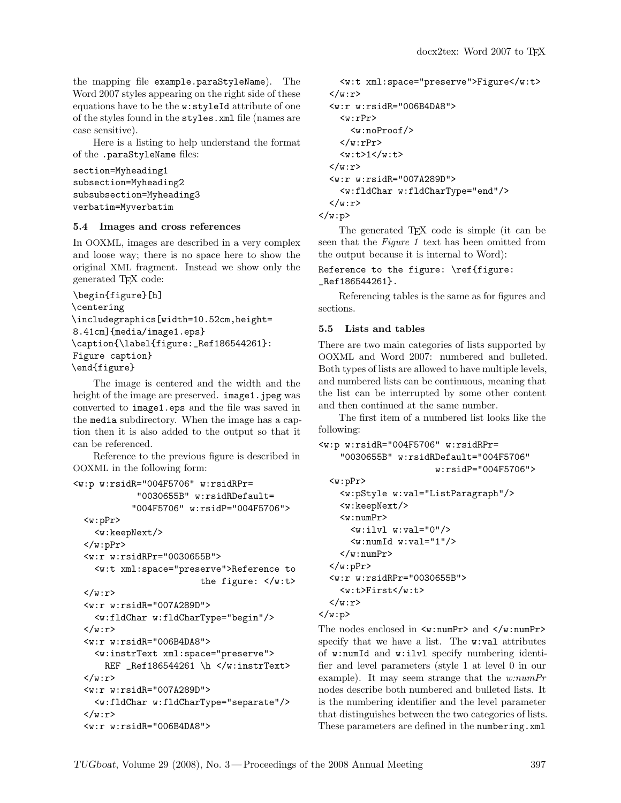the mapping file example.paraStyleName). The Word 2007 styles appearing on the right side of these equations have to be the w:styleId attribute of one of the styles found in the styles.xml file (names are case sensitive).

Here is a listing to help understand the format of the .paraStyleName files:

```
section=Myheading1
subsection=Myheading2
subsubsection=Myheading3
verbatim=Myverbatim
```
## 5.4 Images and cross references

In OOXML, images are described in a very complex and loose way; there is no space here to show the original XML fragment. Instead we show only the generated TEX code:

```
\begin{figure}[h]
\centering
\includegraphics[width=10.52cm,height=
8.41cm]{media/image1.eps}
\caption{\label{figure:_Ref186544261}:
Figure caption}
\end{figure}
```
The image is centered and the width and the height of the image are preserved. image1.jpeg was converted to image1.eps and the file was saved in the media subdirectory. When the image has a caption then it is also added to the output so that it can be referenced.

Reference to the previous figure is described in OOXML in the following form:

```
<w:p w:rsidR="004F5706" w:rsidRPr=
             "0030655B" w:rsidRDefault=
            "004F5706" w:rsidP="004F5706">
  <w:pPr>
    <w:keepNext/>
  \langle/w:pPr>
  <w:r w:rsidRPr="0030655B">
    <w:t xml:space="preserve">Reference to
                          the figure: </w:t>
 \langle/w:r>
  <w:r w:rsidR="007A289D">
    <w:fldChar w:fldCharType="begin"/>
  \langle/w:r>
  <w:r w:rsidR="006B4DA8">
    <w:instrText xml:space="preserve">
      REF _Ref186544261 \h </w:instrText>
  \langle/w:r>
  <w:r w:rsidR="007A289D">
    <w:fldChar w:fldCharType="separate"/>
  \langle/w:r>
  <w:r w:rsidR="006B4DA8">
```

```
<w:t xml:space="preserve">Figure</w:t>
  \langle/w:r>
  <w:r w:rsidR="006B4DA8">
     \langle w: rPr \rangle<w:noProof/>
     \langle/w:rPr>
     <sub>w</sub>:t>1</sub></w:t></sub>
  \langle/w:r>
  <w:r w:rsidR="007A289D">
     <w:fldChar w:fldCharType="end"/>
  \langle/w:r>
\langle/w:p>
```
The generated T<sub>EX</sub> code is simple (it can be seen that the *Figure 1* text has been omitted from the output because it is internal to Word):

```
Reference to the figure: \ref{figure:
_Ref186544261}.
```
Referencing tables is the same as for figures and sections.

## 5.5 Lists and tables

There are two main categories of lists supported by OOXML and Word 2007: numbered and bulleted. Both types of lists are allowed to have multiple levels, and numbered lists can be continuous, meaning that the list can be interrupted by some other content and then continued at the same number.

The first item of a numbered list looks like the following:

```
<w:p w:rsidR="004F5706" w:rsidRPr=
    "0030655B" w:rsidRDefault="004F5706"
                      w:rsidP="004F5706">
 <w:pPr>
   <w:pStyle w:val="ListParagraph"/>
   <w:keepNext/>
```

```
\langle w:numPr \rangle<w:ilvl w:val="0"/>
     <w:numId w:val="1"/>
  \langle/w:numPr>
\langle/w:pPr>
<w:r w:rsidRPr="0030655B">
  <w:t>First</w:t>
\langle/w:r>
```
 $\langle$ /w:p>

The nodes enclosed in  $\langle w:\texttt{numPr}\rangle$  and  $\langle/w:\texttt{numPr}\rangle$ specify that we have a list. The w:val attributes of w:numId and w:ilvl specify numbering identifier and level parameters (style 1 at level 0 in our example). It may seem strange that the *w:numPr* nodes describe both numbered and bulleted lists. It is the numbering identifier and the level parameter that distinguishes between the two categories of lists. These parameters are defined in the numbering.xml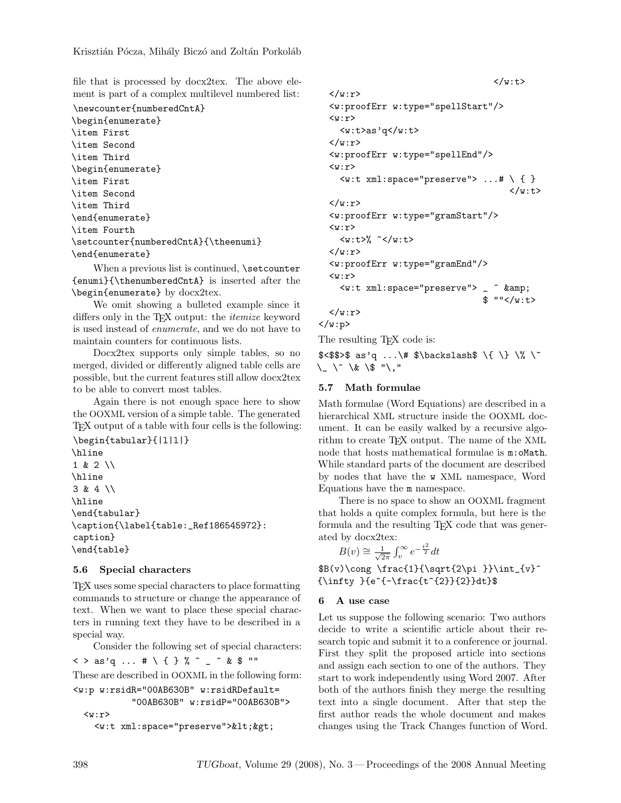file that is processed by docx2tex. The above element is part of a complex multilevel numbered list:

```
\newcounter{numberedCntA}
\begin{enumerate}
\item First
\item Second
\item Third
\begin{enumerate}
\item First
\item Second
\item Third
\end{enumerate}
\item Fourth
\setcounter{numberedCntA}{\theenumi}
\end{enumerate}
```
When a previous list is continued, **\setcounter** {enumi}{\thenumberedCntA} is inserted after the \begin{enumerate} by docx2tex.

We omit showing a bulleted example since it differs only in the TEX output: the *itemize* keyword is used instead of *enumerate*, and we do not have to maintain counters for continuous lists.

Docx2tex supports only simple tables, so no merged, divided or differently aligned table cells are possible, but the current features still allow docx2tex to be able to convert most tables.

Again there is not enough space here to show the OOXML version of a simple table. The generated TEX output of a table with four cells is the following:

\begin{tabular}{|l|l|} \hline 1 & 2 \\ \hline 3 & 4 \\ \hline \end{tabular} \caption{\label{table:\_Ref186545972}: caption} \end{table}

## 5.6 Special characters

TEX uses some special characters to place formatting commands to structure or change the appearance of text. When we want to place these special characters in running text they have to be described in a special way.

Consider the following set of special characters:

 $\langle \ \ \rangle$  as'q ... # \ { } % ~ \_ ^ & \$ "" These are described in OOXML in the following form:

```
<w:p w:rsidR="00AB630B" w:rsidRDefault=
             "00AB630B" w:rsidP="00AB630B">
  <sub>w</sub>:r></sub>
    <w:t xml:space="preserve">&lt;&gt;
```

```
\langle w: t \rangle\langle/w:r>
<w:proofErr w:type="spellStart"/>
\langle w : r \rangle\langle w: t \rangleas'q\langle w: t \rangle\langle/w:r>
<w:proofErr w:type="spellEnd"/>
\langle w : r \rangle\leq w:t xml:space="preserve"> ...# \ { }
                                                         \langle/w:t>
\langle/w:r>
<w:proofErr w:type="gramStart"/>
\langle w: r \rangle\langle w:t\rangle^{\%} ~\langle/w:t\rangle\langle w:\mathbf{r}\rangle<w:proofErr w:type="gramEnd"/>
\langle w: r \rangle<w:t xml:space="preserve"> _ ^ &amp;
                                                 $ ""\lt/w:t>
\langle w:\mathbf{r}\rangle
```

```
</w:p>
```
The resulting T<sub>E</sub>X code is:

 $$<$ \$\$>\$ as'q ...\# \$\backslash\$ \{ \} \% \~ \\_ \^ \& \\$ "\,"

# 5.7 Math formulae

Math formulae (Word Equations) are described in a hierarchical XML structure inside the OOXML document. It can be easily walked by a recursive algorithm to create T<sub>E</sub>X output. The name of the XML node that hosts mathematical formulae is m:oMath. While standard parts of the document are described by nodes that have the w XML namespace, Word Equations have the m namespace.

There is no space to show an OOXML fragment that holds a quite complex formula, but here is the formula and the resulting T<sub>EX</sub> code that was generated by docx2tex:

$$
B(v) \cong \frac{1}{\sqrt{2\pi}} \int_v^{\infty} e^{-\frac{t^2}{2}} dt
$$

 $B(v)\cong \frac{1}{\sqrt{2\pi}}\int_{v}^{\infty}$ {\infty }{e^{-\frac{t^{2}}{2}}dt}\$

# 6 A use case

Let us suppose the following scenario: Two authors decide to write a scientific article about their research topic and submit it to a conference or journal. First they split the proposed article into sections and assign each section to one of the authors. They start to work independently using Word 2007. After both of the authors finish they merge the resulting text into a single document. After that step the first author reads the whole document and makes changes using the Track Changes function of Word.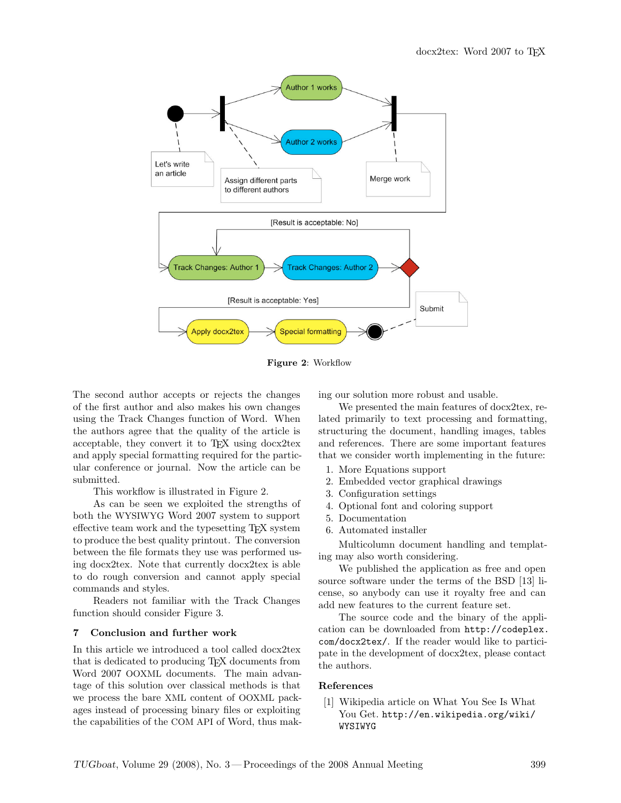

Figure 2: Workflow

The second author accepts or rejects the changes of the first author and also makes his own changes using the Track Changes function of Word. When the authors agree that the quality of the article is acceptable, they convert it to TEX using docx2tex and apply special formatting required for the particular conference or journal. Now the article can be submitted.

This workflow is illustrated in Figure 2.

As can be seen we exploited the strengths of both the WYSIWYG Word 2007 system to support effective team work and the typesetting TEX system to produce the best quality printout. The conversion between the file formats they use was performed using docx2tex. Note that currently docx2tex is able to do rough conversion and cannot apply special commands and styles.

Readers not familiar with the Track Changes function should consider Figure 3.

### 7 Conclusion and further work

In this article we introduced a tool called docx2tex that is dedicated to producing TEX documents from Word 2007 OOXML documents. The main advantage of this solution over classical methods is that we process the bare XML content of OOXML packages instead of processing binary files or exploiting the capabilities of the COM API of Word, thus making our solution more robust and usable.

We presented the main features of docx2tex, related primarily to text processing and formatting, structuring the document, handling images, tables and references. There are some important features that we consider worth implementing in the future:

- 1. More Equations support
- 2. Embedded vector graphical drawings
- 3. Configuration settings
- 4. Optional font and coloring support
- 5. Documentation
- 6. Automated installer

Multicolumn document handling and templating may also worth considering.

We published the application as free and open source software under the terms of the BSD [13] license, so anybody can use it royalty free and can add new features to the current feature set.

The source code and the binary of the application can be downloaded from http://codeplex. com/docx2tex/. If the reader would like to participate in the development of docx2tex, please contact the authors.

## References

[1] Wikipedia article on What You See Is What You Get. http://en.wikipedia.org/wiki/ WYSIWYG